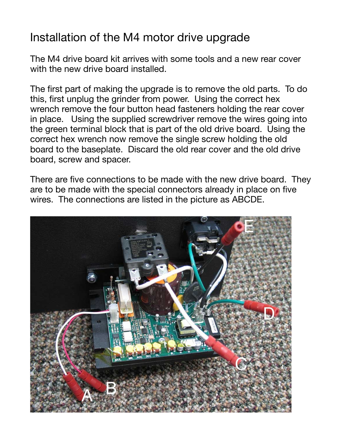## Installation of the M4 motor drive upgrade

The M4 drive board kit arrives with some tools and a new rear cover with the new drive board installed.

The first part of making the upgrade is to remove the old parts. To do this, first unplug the grinder from power. Using the correct hex wrench remove the four button head fasteners holding the rear cover in place. Using the supplied screwdriver remove the wires going into the green terminal block that is part of the old drive board. Using the correct hex wrench now remove the single screw holding the old board to the baseplate. Discard the old rear cover and the old drive board, screw and spacer.

There are five connections to be made with the new drive board. They are to be made with the special connectors already in place on five wires. The connections are listed in the picture as ABCDE.

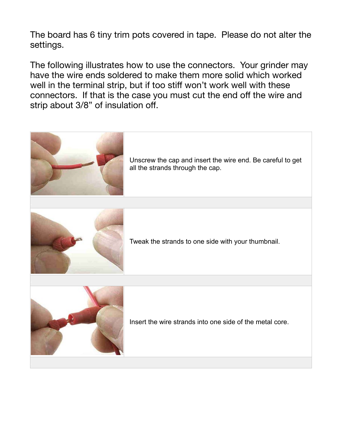The board has 6 tiny trim pots covered in tape. Please do not alter the settings.

The following illustrates how to use the connectors. Your grinder may have the wire ends soldered to make them more solid which worked well in the terminal strip, but if too stiff won't work well with these connectors. If that is the case you must cut the end off the wire and strip about 3/8" of insulation off.



Unscrew the cap and insert the wire end. Be careful to get all the strands through the cap.



Tweak the strands to one side with your thumbnail.



Insert the wire strands into one side of the metal core.